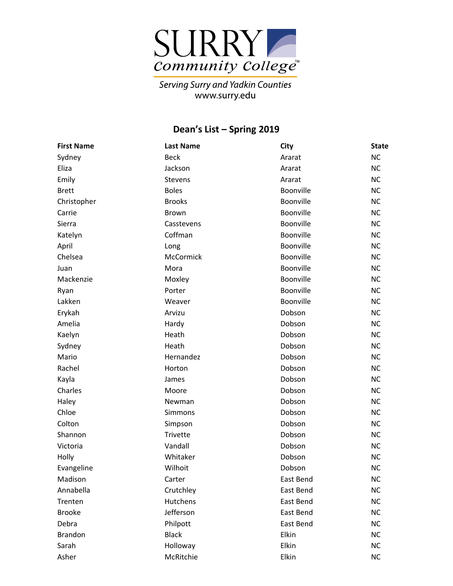

Serving Surry and Yadkin Counties<br>www.surry.edu

## **Dean's List – Spring 201 9**

| <b>First Name</b> | <b>Last Name</b> | City             | <b>State</b> |
|-------------------|------------------|------------------|--------------|
| Sydney            | <b>Beck</b>      | Ararat           | <b>NC</b>    |
| Eliza             | Jackson          | Ararat           | <b>NC</b>    |
| Emily             | Stevens          | Ararat           | <b>NC</b>    |
| <b>Brett</b>      | <b>Boles</b>     | <b>Boonville</b> | <b>NC</b>    |
| Christopher       | <b>Brooks</b>    | Boonville        | <b>NC</b>    |
| Carrie            | Brown            | Boonville        | <b>NC</b>    |
| Sierra            | Casstevens       | Boonville        | <b>NC</b>    |
| Katelyn           | Coffman          | Boonville        | <b>NC</b>    |
| April             | Long             | Boonville        | <b>NC</b>    |
| Chelsea           | McCormick        | Boonville        | <b>NC</b>    |
| Juan              | Mora             | Boonville        | <b>NC</b>    |
| Mackenzie         | Moxley           | Boonville        | <b>NC</b>    |
| Ryan              | Porter           | Boonville        | <b>NC</b>    |
| Lakken            | Weaver           | Boonville        | <b>NC</b>    |
| Erykah            | Arvizu           | Dobson           | <b>NC</b>    |
| Amelia            | Hardy            | Dobson           | <b>NC</b>    |
| Kaelyn            | Heath            | Dobson           | <b>NC</b>    |
| Sydney            | Heath            | Dobson           | <b>NC</b>    |
| Mario             | Hernandez        | Dobson           | <b>NC</b>    |
| Rachel            | Horton           | Dobson           | <b>NC</b>    |
| Kayla             | James            | Dobson           | <b>NC</b>    |
| Charles           | Moore            | Dobson           | <b>NC</b>    |
| Haley             | Newman           | Dobson           | <b>NC</b>    |
| Chloe             | Simmons          | Dobson           | <b>NC</b>    |
| Colton            | Simpson          | Dobson           | <b>NC</b>    |
| Shannon           | Trivette         | Dobson           | <b>NC</b>    |
| Victoria          | Vandall          | Dobson           | <b>NC</b>    |
| Holly             | Whitaker         | Dobson           | <b>NC</b>    |
| Evangeline        | Wilhoit          | Dobson           | <b>NC</b>    |
| Madison           | Carter           | East Bend        | <b>NC</b>    |
| Annabella         | Crutchley        | East Bend        | <b>NC</b>    |
| Trenten           | Hutchens         | East Bend        | <b>NC</b>    |
| <b>Brooke</b>     | Jefferson        | East Bend        | <b>NC</b>    |
| Debra             | Philpott         | East Bend        | <b>NC</b>    |
| Brandon           | <b>Black</b>     | Elkin            | <b>NC</b>    |
| Sarah             | Holloway         | Elkin            | <b>NC</b>    |
| Asher             | McRitchie        | Elkin            | NC           |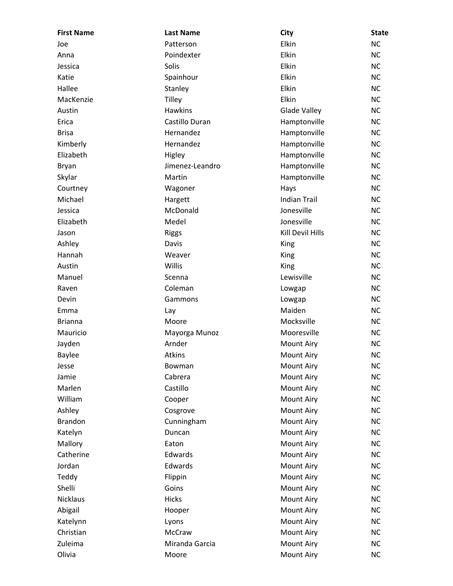| <b>First Name</b> | <b>Last Name</b> | City                    | <b>State</b> |
|-------------------|------------------|-------------------------|--------------|
| Joe               | Patterson        | Elkin                   | <b>NC</b>    |
| Anna              | Poindexter       | Elkin                   | <b>NC</b>    |
| Jessica           | Solis            | Elkin                   | <b>NC</b>    |
| Katie             | Spainhour        | Elkin                   | <b>NC</b>    |
| Hallee            | Stanley          | Elkin                   | <b>NC</b>    |
| MacKenzie         | <b>Tilley</b>    | Elkin                   | <b>NC</b>    |
| Austin            | <b>Hawkins</b>   | <b>Glade Valley</b>     | <b>NC</b>    |
| Erica             | Castillo Duran   | Hamptonville            | <b>NC</b>    |
| <b>Brisa</b>      | Hernandez        | Hamptonville            | <b>NC</b>    |
| Kimberly          | Hernandez        | Hamptonville            | <b>NC</b>    |
| Elizabeth         | Higley           | Hamptonville            | <b>NC</b>    |
| Bryan             | Jimenez-Leandro  | Hamptonville            | <b>NC</b>    |
| Skylar            | Martin           | Hamptonville            | <b>NC</b>    |
| Courtney          | Wagoner          | Hays                    | <b>NC</b>    |
| Michael           | Hargett          | <b>Indian Trail</b>     | <b>NC</b>    |
| Jessica           | McDonald         | Jonesville              | <b>NC</b>    |
| Elizabeth         | Medel            | Jonesville              | <b>NC</b>    |
| Jason             | <b>Riggs</b>     | <b>Kill Devil Hills</b> | <b>NC</b>    |
| Ashley            | Davis            | King                    | <b>NC</b>    |
| Hannah            | Weaver           | King                    | <b>NC</b>    |
| Austin            | Willis           | King                    | <b>NC</b>    |
| Manuel            | Scenna           | Lewisville              | <b>NC</b>    |
| Raven             | Coleman          | Lowgap                  | <b>NC</b>    |
| Devin             | Gammons          | Lowgap                  | <b>NC</b>    |
| Emma              | Lay              | Maiden                  | <b>NC</b>    |
| <b>Brianna</b>    | Moore            | Mocksville              | <b>NC</b>    |
| Mauricio          | Mayorga Munoz    | Mooresville             | <b>NC</b>    |
| Jayden            | Arnder           | <b>Mount Airy</b>       | <b>NC</b>    |
| <b>Baylee</b>     | <b>Atkins</b>    | <b>Mount Airy</b>       | <b>NC</b>    |
| Jesse             | Bowman           | <b>Mount Airy</b>       | <b>NC</b>    |
| Jamie             | Cabrera          | <b>Mount Airy</b>       | <b>NC</b>    |
| Marlen            | Castillo         | <b>Mount Airy</b>       | <b>NC</b>    |
| William           | Cooper           | <b>Mount Airy</b>       | <b>NC</b>    |
| Ashley            | Cosgrove         | <b>Mount Airy</b>       | <b>NC</b>    |
| <b>Brandon</b>    | Cunningham       | <b>Mount Airy</b>       | <b>NC</b>    |
| Katelyn           | Duncan           | <b>Mount Airy</b>       | <b>NC</b>    |
| Mallory           | Eaton            | <b>Mount Airy</b>       | <b>NC</b>    |
| Catherine         | Edwards          | <b>Mount Airy</b>       | <b>NC</b>    |
| Jordan            | Edwards          | <b>Mount Airy</b>       | <b>NC</b>    |
| Teddy             | Flippin          | <b>Mount Airy</b>       | <b>NC</b>    |
| Shelli            | Goins            | <b>Mount Airy</b>       | <b>NC</b>    |
| <b>Nicklaus</b>   | <b>Hicks</b>     | <b>Mount Airy</b>       | <b>NC</b>    |
| Abigail           | Hooper           | <b>Mount Airy</b>       | <b>NC</b>    |
| Katelynn          | Lyons            | <b>Mount Airy</b>       | <b>NC</b>    |
| Christian         | McCraw           | <b>Mount Airy</b>       | <b>NC</b>    |
| Zuleima           | Miranda Garcia   | <b>Mount Airy</b>       | <b>NC</b>    |
| Olivia            | Moore            | <b>Mount Airy</b>       | <b>NC</b>    |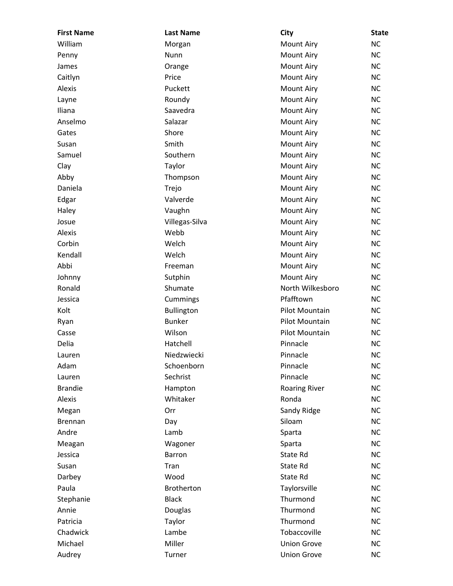| <b>First Name</b> | <b>Last Name</b>  | <b>City</b>          | <b>State</b> |
|-------------------|-------------------|----------------------|--------------|
| William           | Morgan            | Mount Airy           | <b>NC</b>    |
| Penny             | Nunn              | Mount Airy           | <b>NC</b>    |
| James             | Orange            | Mount Airy           | <b>NC</b>    |
| Caitlyn           | Price             | Mount Airy           | <b>NC</b>    |
| Alexis            | Puckett           | <b>Mount Airy</b>    | <b>NC</b>    |
| Layne             | Roundy            | Mount Airy           | <b>NC</b>    |
| Iliana            | Saavedra          | Mount Airy           | <b>NC</b>    |
| Anselmo           | Salazar           | Mount Airy           | <b>NC</b>    |
| Gates             | Shore             | <b>Mount Airy</b>    | <b>NC</b>    |
| Susan             | Smith             | <b>Mount Airy</b>    | <b>NC</b>    |
| Samuel            | Southern          | Mount Airy           | <b>NC</b>    |
| Clay              | Taylor            | Mount Airy           | <b>NC</b>    |
| Abby              | Thompson          | <b>Mount Airy</b>    | <b>NC</b>    |
| Daniela           | Trejo             | Mount Airy           | <b>NC</b>    |
| Edgar             | Valverde          | <b>Mount Airy</b>    | <b>NC</b>    |
| Haley             | Vaughn            | Mount Airy           | <b>NC</b>    |
| Josue             | Villegas-Silva    | <b>Mount Airy</b>    | <b>NC</b>    |
| Alexis            | Webb              | Mount Airy           | <b>NC</b>    |
| Corbin            | Welch             | Mount Airy           | <b>NC</b>    |
| Kendall           | Welch             | Mount Airy           | <b>NC</b>    |
| Abbi              | Freeman           | <b>Mount Airy</b>    | <b>NC</b>    |
| Johnny            | Sutphin           | <b>Mount Airy</b>    | <b>NC</b>    |
| Ronald            | Shumate           | North Wilkesboro     | <b>NC</b>    |
| Jessica           | Cummings          | Pfafftown            | <b>NC</b>    |
| Kolt              | <b>Bullington</b> | Pilot Mountain       | <b>NC</b>    |
| Ryan              | <b>Bunker</b>     | Pilot Mountain       | <b>NC</b>    |
| Casse             | Wilson            | Pilot Mountain       | <b>NC</b>    |
| Delia             | Hatchell          | Pinnacle             | <b>NC</b>    |
| Lauren            | Niedzwiecki       | Pinnacle             | <b>NC</b>    |
| Adam              | Schoenborn        | Pinnacle             | <b>NC</b>    |
| Lauren            | Sechrist          | Pinnacle             | <b>NC</b>    |
| <b>Brandie</b>    | Hampton           | <b>Roaring River</b> | <b>NC</b>    |
| Alexis            | Whitaker          | Ronda                | <b>NC</b>    |
| Megan             | Orr               | Sandy Ridge          | <b>NC</b>    |
| <b>Brennan</b>    | Day               | Siloam               | <b>NC</b>    |
| Andre             | Lamb              | Sparta               | <b>NC</b>    |
| Meagan            | Wagoner           | Sparta               | <b>NC</b>    |
| Jessica           | Barron            | State Rd             | <b>NC</b>    |
| Susan             | Tran              | State Rd             | <b>NC</b>    |
| Darbey            | Wood              | State Rd             | <b>NC</b>    |
| Paula             | <b>Brotherton</b> | Taylorsville         | <b>NC</b>    |
| Stephanie         | <b>Black</b>      | Thurmond             | <b>NC</b>    |
| Annie             | Douglas           | Thurmond             | <b>NC</b>    |
| Patricia          | Taylor            | Thurmond             | <b>NC</b>    |
| Chadwick          | Lambe             | Tobaccoville         | <b>NC</b>    |
| Michael           | Miller            | <b>Union Grove</b>   | <b>NC</b>    |
| Audrey            | Turner            | <b>Union Grove</b>   | <b>NC</b>    |